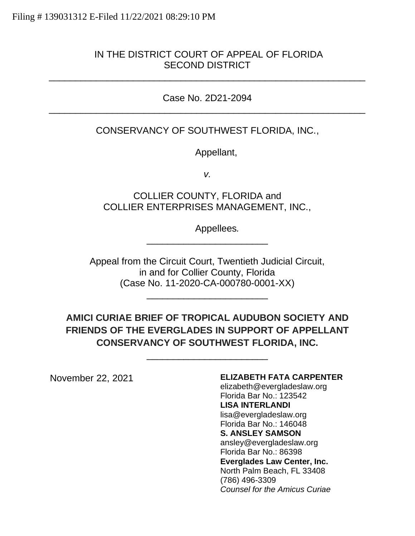## IN THE DISTRICT COURT OF APPEAL OF FLORIDA SECOND DISTRICT

#### Case No. 2D21-2094 \_\_\_\_\_\_\_\_\_\_\_\_\_\_\_\_\_\_\_\_\_\_\_\_\_\_\_\_\_\_\_\_\_\_\_\_\_\_\_\_\_\_\_\_\_\_\_\_\_\_\_\_\_\_\_\_\_\_\_\_

\_\_\_\_\_\_\_\_\_\_\_\_\_\_\_\_\_\_\_\_\_\_\_\_\_\_\_\_\_\_\_\_\_\_\_\_\_\_\_\_\_\_\_\_\_\_\_\_\_\_\_\_\_\_\_\_\_\_\_\_

### CONSERVANCY OF SOUTHWEST FLORIDA, INC.,

Appellant,

*v.*

COLLIER COUNTY, FLORIDA and COLLIER ENTERPRISES MANAGEMENT, INC.,

Appellees*.*

Appeal from the Circuit Court, Twentieth Judicial Circuit, in and for Collier County, Florida (Case No. 11-2020-CA-000780-0001-XX)

\_\_\_\_\_\_\_\_\_\_\_\_\_\_\_\_\_\_\_\_\_\_\_

\_\_\_\_\_\_\_\_\_\_\_\_\_\_\_\_\_\_\_\_\_\_\_

**AMICI CURIAE BRIEF OF TROPICAL AUDUBON SOCIETY AND FRIENDS OF THE EVERGLADES IN SUPPORT OF APPELLANT CONSERVANCY OF SOUTHWEST FLORIDA, INC.**

\_\_\_\_\_\_\_\_\_\_\_\_\_\_\_\_\_\_\_\_\_\_\_

#### November 22, 2021 **ELIZABETH FATA CARPENTER**

elizabeth@evergladeslaw.org Florida Bar No.: 123542 **LISA INTERLANDI** lisa@evergladeslaw.org Florida Bar No.: 146048 **S. ANSLEY SAMSON** ansley@evergladeslaw.org Florida Bar No.: 86398 **Everglades Law Center, Inc.** North Palm Beach, FL 33408 (786) 496-3309 *Counsel for the Amicus Curiae*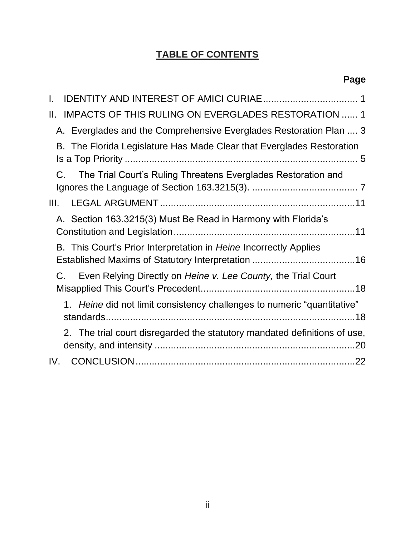# **TABLE OF CONTENTS**

| L.                                                                           |
|------------------------------------------------------------------------------|
| II. IMPACTS OF THIS RULING ON EVERGLADES RESTORATION  1                      |
| A. Everglades and the Comprehensive Everglades Restoration Plan  3           |
| B. The Florida Legislature Has Made Clear that Everglades Restoration        |
| The Trial Court's Ruling Threatens Everglades Restoration and<br>$C_{\cdot}$ |
| III.                                                                         |
| A. Section 163.3215(3) Must Be Read in Harmony with Florida's                |
| B. This Court's Prior Interpretation in Heine Incorrectly Applies            |
| Even Relying Directly on Heine v. Lee County, the Trial Court<br>C.          |
| 1. Heine did not limit consistency challenges to numeric "quantitative"      |
| 2. The trial court disregarded the statutory mandated definitions of use,    |
|                                                                              |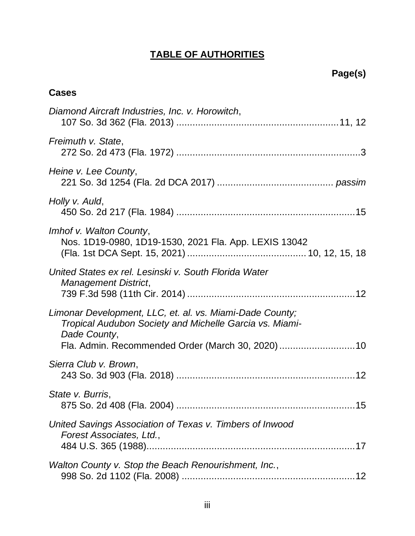# **TABLE OF AUTHORITIES**

# **Cases**

| Diamond Aircraft Industries, Inc. v. Horowitch,                                                                                                                                         |
|-----------------------------------------------------------------------------------------------------------------------------------------------------------------------------------------|
| Freimuth v. State,                                                                                                                                                                      |
| Heine v. Lee County,                                                                                                                                                                    |
| Holly v. Auld,                                                                                                                                                                          |
| Imhof v. Walton County,<br>Nos. 1D19-0980, 1D19-1530, 2021 Fla. App. LEXIS 13042                                                                                                        |
| United States ex rel. Lesinski v. South Florida Water<br><b>Management District,</b>                                                                                                    |
| Limonar Development, LLC, et. al. vs. Miami-Dade County;<br>Tropical Audubon Society and Michelle Garcia vs. Miami-<br>Dade County,<br>Fla. Admin. Recommended Order (March 30, 2020)10 |
| Sierra Club v. Brown,                                                                                                                                                                   |
| State v. Burris,                                                                                                                                                                        |
| United Savings Association of Texas v. Timbers of Inwood<br>Forest Associates, Ltd.,                                                                                                    |
| Walton County v. Stop the Beach Renourishment, Inc.,<br>12                                                                                                                              |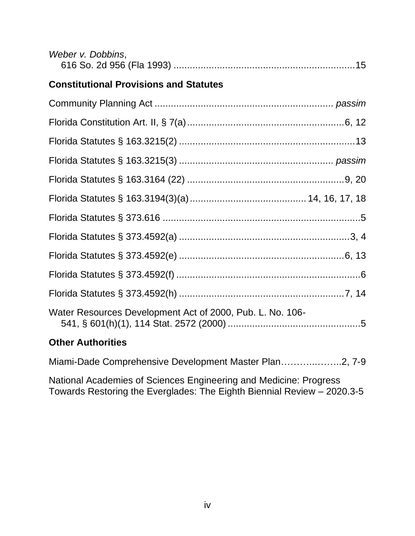| Weber v. Dobbins,                                                                                      |  |
|--------------------------------------------------------------------------------------------------------|--|
| <b>Constitutional Provisions and Statutes</b>                                                          |  |
|                                                                                                        |  |
|                                                                                                        |  |
|                                                                                                        |  |
|                                                                                                        |  |
|                                                                                                        |  |
|                                                                                                        |  |
|                                                                                                        |  |
|                                                                                                        |  |
|                                                                                                        |  |
|                                                                                                        |  |
|                                                                                                        |  |
| Water Resources Development Act of 2000, Pub. L. No. 106-                                              |  |
| $\mathbf{A}$ and $\mathbf{A}$ are the set of $\mathbf{A}$ and $\mathbf{A}$ are the set of $\mathbf{A}$ |  |

# **Other Authorities**

Miami-Dade Comprehensive Development Master Plan………...……..2, 7-9

National Academies of Sciences Engineering and Medicine: Progress Towards Restoring the Everglades: The Eighth Biennial Review – 2020.3-5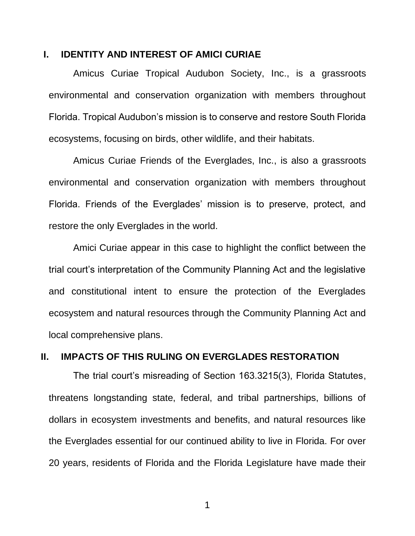#### <span id="page-4-0"></span>**I. IDENTITY AND INTEREST OF AMICI CURIAE**

Amicus Curiae Tropical Audubon Society, Inc., is a grassroots environmental and conservation organization with members throughout Florida. Tropical Audubon's mission is to conserve and restore South Florida ecosystems, focusing on birds, other wildlife, and their habitats.

Amicus Curiae Friends of the Everglades, Inc., is also a grassroots environmental and conservation organization with members throughout Florida. Friends of the Everglades' mission is to preserve, protect, and restore the only Everglades in the world.

<span id="page-4-2"></span>Amici Curiae appear in this case to highlight the conflict between the trial court's interpretation of the Community Planning Act and the legislative and constitutional intent to ensure the protection of the Everglades ecosystem and natural resources through the Community Planning Act and local comprehensive plans.

#### <span id="page-4-1"></span>**II. IMPACTS OF THIS RULING ON EVERGLADES RESTORATION**

<span id="page-4-3"></span>The trial court's misreading of Section 163.3215(3), Florida Statutes, threatens longstanding state, federal, and tribal partnerships, billions of dollars in ecosystem investments and benefits, and natural resources like the Everglades essential for our continued ability to live in Florida. For over 20 years, residents of Florida and the Florida Legislature have made their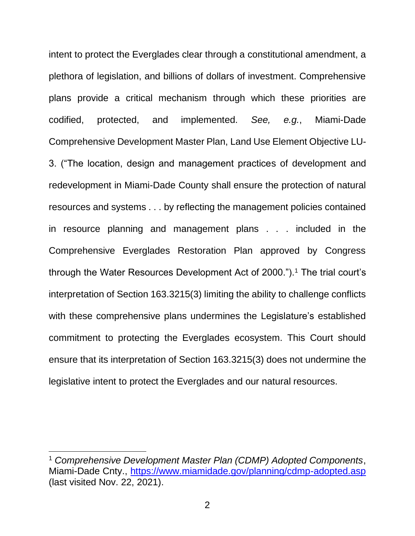intent to protect the Everglades clear through a constitutional amendment, a plethora of legislation, and billions of dollars of investment. Comprehensive plans provide a critical mechanism through which these priorities are codified, protected, and implemented. *See, e.g.*, Miami-Dade Comprehensive Development Master Plan, Land Use Element Objective LU-3. ("The location, design and management practices of development and redevelopment in Miami-Dade County shall ensure the protection of natural resources and systems . . . by reflecting the management policies contained in resource planning and management plans . . . included in the Comprehensive Everglades Restoration Plan approved by Congress through the Water Resources Development Act of 2000.").<sup>1</sup> The trial court's interpretation of Section 163.3215(3) limiting the ability to challenge conflicts with these comprehensive plans undermines the Legislature's established commitment to protecting the Everglades ecosystem. This Court should ensure that its interpretation of Section 163.3215(3) does not undermine the legislative intent to protect the Everglades and our natural resources.

<sup>1</sup> *Comprehensive Development Master Plan (CDMP) Adopted Components*, Miami-Dade Cnty., https://www.miamidade.gov/planning/cdmp-adopted.asp (last visited Nov. 22, 2021).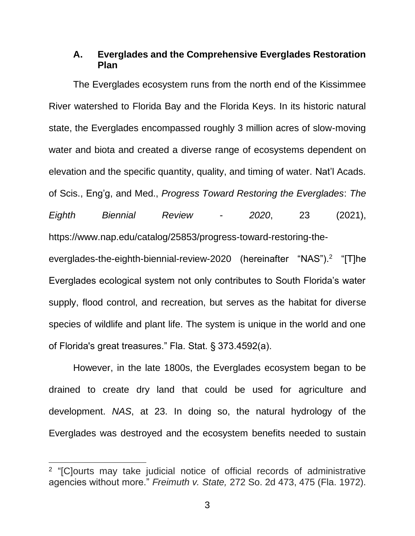#### <span id="page-6-0"></span>**A. Everglades and the Comprehensive Everglades Restoration Plan**

The Everglades ecosystem runs from the north end of the Kissimmee River watershed to Florida Bay and the Florida Keys. In its historic natural state, the Everglades encompassed roughly 3 million acres of slow-moving water and biota and created a diverse range of ecosystems dependent on elevation and the specific quantity, quality, and timing of water. Nat'l Acads. of Scis., Eng'g, and Med., *Progress Toward Restoring the Everglades*: *The Eighth Biennial Review - 2020*, 23 (2021), https://www.nap.edu/catalog/25853/progress-toward-restoring-the-

everglades-the-eighth-biennial-review-2020 (hereinafter "NAS").<sup>2</sup> "[T]he Everglades ecological system not only contributes to South Florida's water supply, flood control, and recreation, but serves as the habitat for diverse species of wildlife and plant life. The system is unique in the world and one of Florida's great treasures." Fla. Stat. § 373.4592(a).

<span id="page-6-2"></span>However, in the late 1800s, the Everglades ecosystem began to be drained to create dry land that could be used for agriculture and development. *NAS*, at 23. In doing so, the natural hydrology of the Everglades was destroyed and the ecosystem benefits needed to sustain

<span id="page-6-1"></span><sup>&</sup>lt;sup>2</sup> "[C]ourts may take judicial notice of official records of administrative agencies without more." *Freimuth v. State,* 272 So. 2d 473, 475 (Fla. 1972).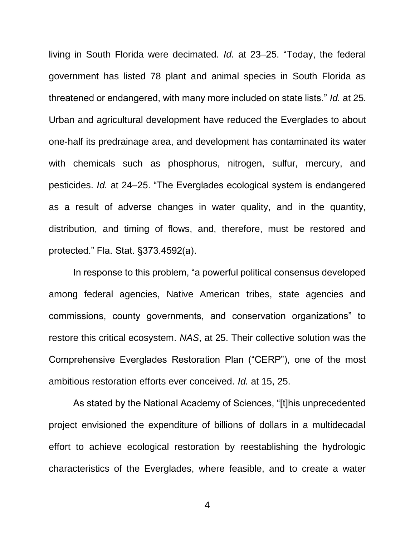living in South Florida were decimated. *Id.* at 23–25. "Today, the federal government has listed 78 plant and animal species in South Florida as threatened or endangered, with many more included on state lists." *Id.* at 25. Urban and agricultural development have reduced the Everglades to about one-half its predrainage area, and development has contaminated its water with chemicals such as phosphorus, nitrogen, sulfur, mercury, and pesticides. *Id.* at 24‒25. "The Everglades ecological system is endangered as a result of adverse changes in water quality, and in the quantity, distribution, and timing of flows, and, therefore, must be restored and protected." Fla. Stat. §373.4592(a).

<span id="page-7-0"></span>In response to this problem, "a powerful political consensus developed among federal agencies, Native American tribes, state agencies and commissions, county governments, and conservation organizations" to restore this critical ecosystem. *NAS*, at 25. Their collective solution was the Comprehensive Everglades Restoration Plan ("CERP"), one of the most ambitious restoration efforts ever conceived. *Id.* at 15, 25.

As stated by the National Academy of Sciences, "[t]his unprecedented project envisioned the expenditure of billions of dollars in a multidecadal effort to achieve ecological restoration by reestablishing the hydrologic characteristics of the Everglades, where feasible, and to create a water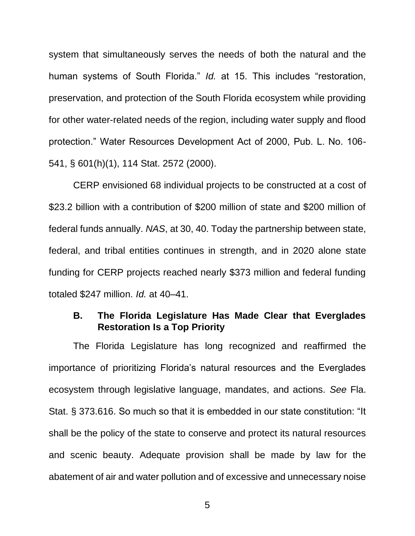system that simultaneously serves the needs of both the natural and the human systems of South Florida." *Id.* at 15. This includes "restoration, preservation, and protection of the South Florida ecosystem while providing for other water-related needs of the region, including water supply and flood protection." Water Resources Development Act of 2000, Pub. L. No. 106- 541, § 601(h)(1), 114 Stat. 2572 (2000).

<span id="page-8-2"></span>CERP envisioned 68 individual projects to be constructed at a cost of \$23.2 billion with a contribution of \$200 million of state and \$200 million of federal funds annually. *NAS*, at 30, 40. Today the partnership between state, federal, and tribal entities continues in strength, and in 2020 alone state funding for CERP projects reached nearly \$373 million and federal funding totaled \$247 million. *Id.* at 40‒41.

#### <span id="page-8-1"></span><span id="page-8-0"></span>**B. The Florida Legislature Has Made Clear that Everglades Restoration Is a Top Priority**

The Florida Legislature has long recognized and reaffirmed the importance of prioritizing Florida's natural resources and the Everglades ecosystem through legislative language, mandates, and actions. *See* Fla. Stat. § 373.616. So much so that it is embedded in our state constitution: "It shall be the policy of the state to conserve and protect its natural resources and scenic beauty. Adequate provision shall be made by law for the abatement of air and water pollution and of excessive and unnecessary noise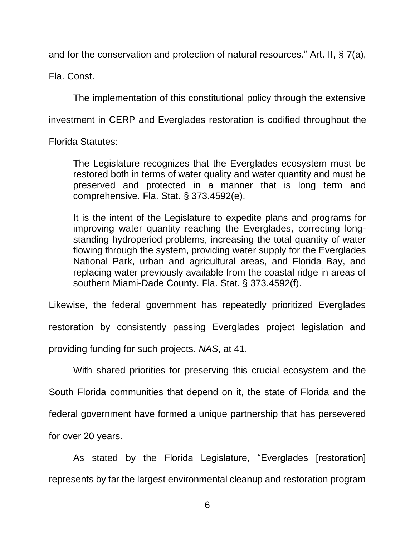and for the conservation and protection of natural resources." Art. II, § 7(a),

Fla. Const.

<span id="page-9-0"></span>The implementation of this constitutional policy through the extensive

investment in CERP and Everglades restoration is codified throughout the

Florida Statutes:

The Legislature recognizes that the Everglades ecosystem must be restored both in terms of water quality and water quantity and must be preserved and protected in a manner that is long term and comprehensive. Fla. Stat. § 373.4592(e).

<span id="page-9-2"></span><span id="page-9-1"></span>It is the intent of the Legislature to expedite plans and programs for improving water quantity reaching the Everglades, correcting longstanding hydroperiod problems, increasing the total quantity of water flowing through the system, providing water supply for the Everglades National Park, urban and agricultural areas, and Florida Bay, and replacing water previously available from the coastal ridge in areas of southern Miami-Dade County. Fla. Stat. § 373.4592(f).

Likewise, the federal government has repeatedly prioritized Everglades restoration by consistently passing Everglades project legislation and providing funding for such projects. *NAS*, at 41.

With shared priorities for preserving this crucial ecosystem and the South Florida communities that depend on it, the state of Florida and the federal government have formed a unique partnership that has persevered for over 20 years.

As stated by the Florida Legislature, "Everglades [restoration] represents by far the largest environmental cleanup and restoration program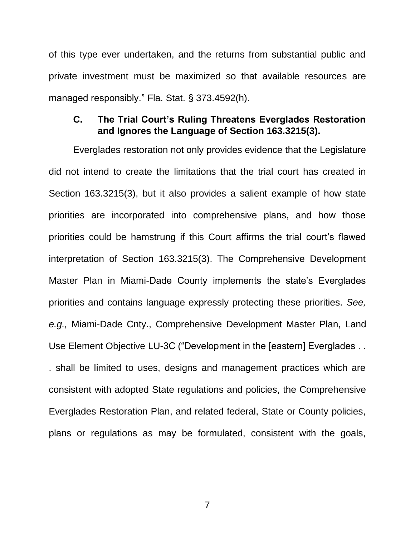of this type ever undertaken, and the returns from substantial public and private investment must be maximized so that available resources are managed responsibly." Fla. Stat. § 373.4592(h).

#### <span id="page-10-1"></span><span id="page-10-0"></span>**C. The Trial Court's Ruling Threatens Everglades Restoration and Ignores the Language of Section 163.3215(3).**

Everglades restoration not only provides evidence that the Legislature did not intend to create the limitations that the trial court has created in Section 163.3215(3), but it also provides a salient example of how state priorities are incorporated into comprehensive plans, and how those priorities could be hamstrung if this Court affirms the trial court's flawed interpretation of Section 163.3215(3). The Comprehensive Development Master Plan in Miami-Dade County implements the state's Everglades priorities and contains language expressly protecting these priorities. *See, e.g.,* Miami-Dade Cnty., Comprehensive Development Master Plan, Land Use Element Objective LU-3C ("Development in the [eastern] Everglades . . . shall be limited to uses, designs and management practices which are consistent with adopted State regulations and policies, the Comprehensive Everglades Restoration Plan, and related federal, State or County policies, plans or regulations as may be formulated, consistent with the goals,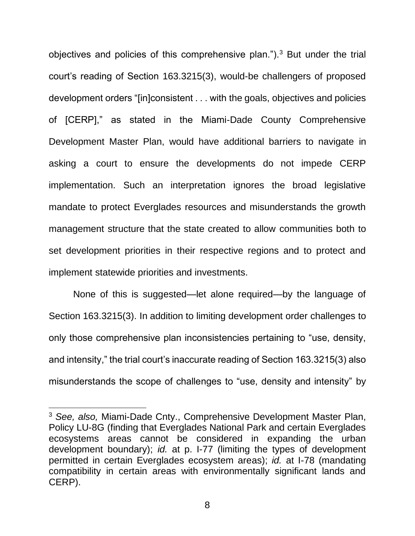objectives and policies of this comprehensive plan.").<sup>3</sup> But under the trial court's reading of Section 163.3215(3), would-be challengers of proposed development orders "[in]consistent . . . with the goals, objectives and policies of [CERP]," as stated in the Miami-Dade County Comprehensive Development Master Plan, would have additional barriers to navigate in asking a court to ensure the developments do not impede CERP implementation. Such an interpretation ignores the broad legislative mandate to protect Everglades resources and misunderstands the growth management structure that the state created to allow communities both to set development priorities in their respective regions and to protect and implement statewide priorities and investments.

None of this is suggested—let alone required—by the language of Section 163.3215(3). In addition to limiting development order challenges to only those comprehensive plan inconsistencies pertaining to "use, density, and intensity," the trial court's inaccurate reading of Section 163.3215(3) also misunderstands the scope of challenges to "use, density and intensity" by

<sup>3</sup> *See, also,* Miami-Dade Cnty., Comprehensive Development Master Plan, Policy LU-8G (finding that Everglades National Park and certain Everglades ecosystems areas cannot be considered in expanding the urban development boundary); *id.* at p. I-77 (limiting the types of development permitted in certain Everglades ecosystem areas); *id.* at I-78 (mandating compatibility in certain areas with environmentally significant lands and CERP).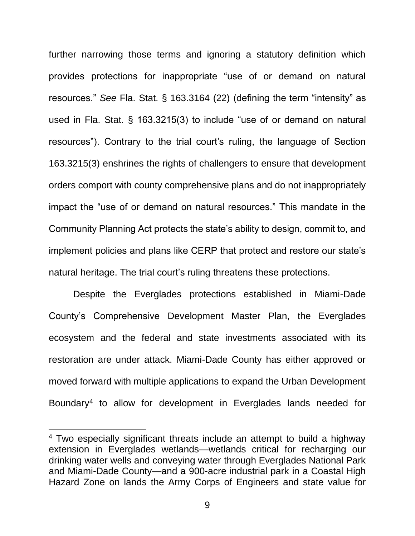<span id="page-12-0"></span>further narrowing those terms and ignoring a statutory definition which provides protections for inappropriate "use of or demand on natural resources." *See* Fla. Stat. § 163.3164 (22) (defining the term "intensity" as used in Fla. Stat. § 163.3215(3) to include "use of or demand on natural resources"). Contrary to the trial court's ruling, the language of Section 163.3215(3) enshrines the rights of challengers to ensure that development orders comport with county comprehensive plans and do not inappropriately impact the "use of or demand on natural resources." This mandate in the Community Planning Act protects the state's ability to design, commit to, and implement policies and plans like CERP that protect and restore our state's natural heritage. The trial court's ruling threatens these protections.

Despite the Everglades protections established in Miami-Dade County's Comprehensive Development Master Plan, the Everglades ecosystem and the federal and state investments associated with its restoration are under attack. Miami-Dade County has either approved or moved forward with multiple applications to expand the Urban Development Boundary<sup>4</sup> to allow for development in Everglades lands needed for

<sup>4</sup> Two especially significant threats include an attempt to build a highway extension in Everglades wetlands—wetlands critical for recharging our drinking water wells and conveying water through Everglades National Park and Miami-Dade County—and a 900-acre industrial park in a Coastal High Hazard Zone on lands the Army Corps of Engineers and state value for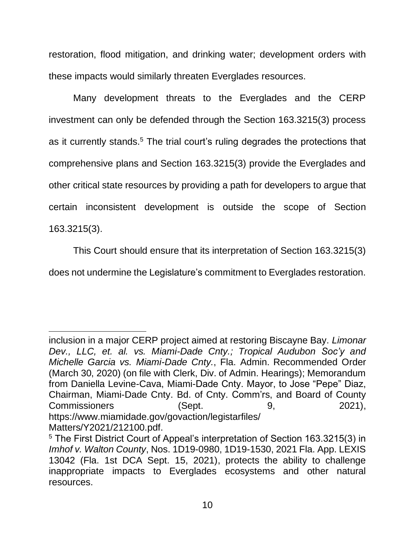restoration, flood mitigation, and drinking water; development orders with these impacts would similarly threaten Everglades resources.

Many development threats to the Everglades and the CERP investment can only be defended through the Section 163.3215(3) process as it currently stands.<sup>5</sup> The trial court's ruling degrades the protections that comprehensive plans and Section 163.3215(3) provide the Everglades and other critical state resources by providing a path for developers to argue that certain inconsistent development is outside the scope of Section 163.3215(3).

This Court should ensure that its interpretation of Section 163.3215(3) does not undermine the Legislature's commitment to Everglades restoration.

<span id="page-13-1"></span>inclusion in a major CERP project aimed at restoring Biscayne Bay. *Limonar Dev., LLC, et. al. vs. Miami-Dade Cnty.; Tropical Audubon Soc'y and Michelle Garcia vs. Miami-Dade Cnty.*, Fla. Admin. Recommended Order (March 30, 2020) (on file with Clerk, Div. of Admin. Hearings); Memorandum from Daniella Levine-Cava, Miami-Dade Cnty. Mayor, to Jose "Pepe" Diaz, Chairman, Miami-Dade Cnty. Bd. of Cnty. Comm'rs, and Board of County Commissioners (Sept. 9, 2021), https://www.miamidade.gov/govaction/legistarfiles/ Matters/Y2021/212100.pdf.

<span id="page-13-0"></span><sup>5</sup> The First District Court of Appeal's interpretation of Section 163.3215(3) in *Imhof v. Walton County*, Nos. 1D19-0980, 1D19-1530, 2021 Fla. App. LEXIS 13042 (Fla. 1st DCA Sept. 15, 2021), protects the ability to challenge inappropriate impacts to Everglades ecosystems and other natural resources.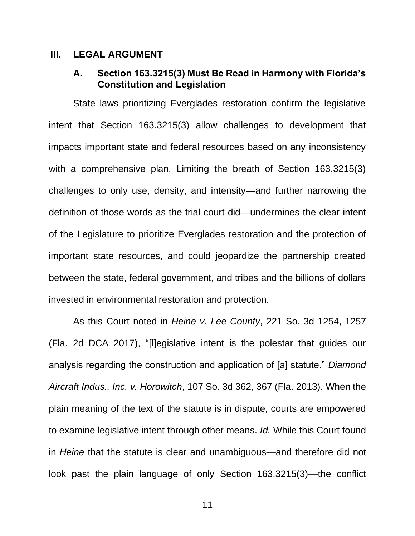#### <span id="page-14-1"></span><span id="page-14-0"></span>**III. LEGAL ARGUMENT**

#### **A. Section 163.3215(3) Must Be Read in Harmony with Florida's Constitution and Legislation**

State laws prioritizing Everglades restoration confirm the legislative intent that Section 163.3215(3) allow challenges to development that impacts important state and federal resources based on any inconsistency with a comprehensive plan. Limiting the breath of Section 163.3215(3) challenges to only use, density, and intensity—and further narrowing the definition of those words as the trial court did—undermines the clear intent of the Legislature to prioritize Everglades restoration and the protection of important state resources, and could jeopardize the partnership created between the state, federal government, and tribes and the billions of dollars invested in environmental restoration and protection.

<span id="page-14-3"></span><span id="page-14-2"></span>As this Court noted in *Heine v. Lee County*, 221 So. 3d 1254, 1257 (Fla. 2d DCA 2017), "[l]egislative intent is the polestar that guides our analysis regarding the construction and application of [a] statute." *Diamond Aircraft Indus., Inc. v. Horowitch*, 107 So. 3d 362, 367 (Fla. 2013). When the plain meaning of the text of the statute is in dispute, courts are empowered to examine legislative intent through other means. *Id.* While this Court found in *Heine* that the statute is clear and unambiguous—and therefore did not look past the plain language of only Section 163.3215(3)—the conflict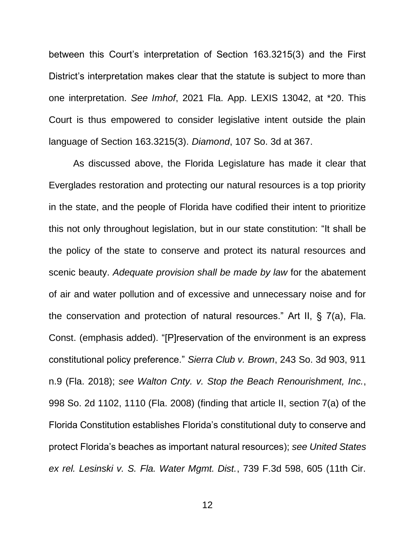<span id="page-15-1"></span>between this Court's interpretation of Section 163.3215(3) and the First District's interpretation makes clear that the statute is subject to more than one interpretation. *See Imhof*, 2021 Fla. App. LEXIS 13042, at \*20. This Court is thus empowered to consider legislative intent outside the plain language of Section 163.3215(3). *Diamond*, 107 So. 3d at 367.

<span id="page-15-5"></span><span id="page-15-4"></span><span id="page-15-3"></span><span id="page-15-2"></span><span id="page-15-0"></span>As discussed above, the Florida Legislature has made it clear that Everglades restoration and protecting our natural resources is a top priority in the state, and the people of Florida have codified their intent to prioritize this not only throughout legislation, but in our state constitution: "It shall be the policy of the state to conserve and protect its natural resources and scenic beauty. *Adequate provision shall be made by law* for the abatement of air and water pollution and of excessive and unnecessary noise and for the conservation and protection of natural resources." Art II, § 7(a), Fla. Const. (emphasis added). "[P]reservation of the environment is an express constitutional policy preference." *Sierra Club v. Brown*, 243 So. 3d 903, 911 n.9 (Fla. 2018); *see Walton Cnty. v. Stop the Beach Renourishment, Inc.*, 998 So. 2d 1102, 1110 (Fla. 2008) (finding that article II, section 7(a) of the Florida Constitution establishes Florida's constitutional duty to conserve and protect Florida's beaches as important natural resources); *see United States ex rel. Lesinski v. S. Fla. Water Mgmt. Dist.*, 739 F.3d 598, 605 (11th Cir.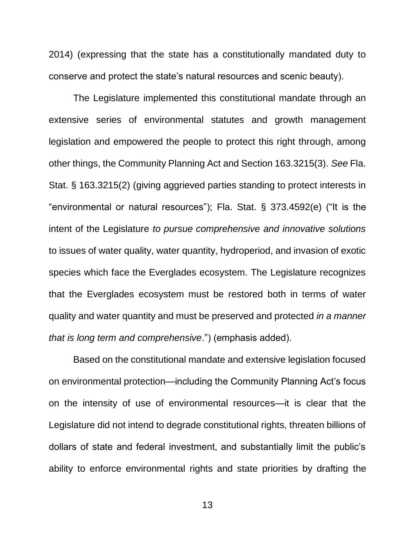2014) (expressing that the state has a constitutionally mandated duty to conserve and protect the state's natural resources and scenic beauty).

<span id="page-16-1"></span><span id="page-16-0"></span>The Legislature implemented this constitutional mandate through an extensive series of environmental statutes and growth management legislation and empowered the people to protect this right through, among other things, the Community Planning Act and Section 163.3215(3). *See* Fla. Stat. § 163.3215(2) (giving aggrieved parties standing to protect interests in "environmental or natural resources"); Fla. Stat. § 373.4592(e) ("It is the intent of the Legislature *to pursue comprehensive and innovative solutions* to issues of water quality, water quantity, hydroperiod, and invasion of exotic species which face the Everglades ecosystem. The Legislature recognizes that the Everglades ecosystem must be restored both in terms of water quality and water quantity and must be preserved and protected *in a manner that is long term and comprehensive*.") (emphasis added).

Based on the constitutional mandate and extensive legislation focused on environmental protection—including the Community Planning Act's focus on the intensity of use of environmental resources—it is clear that the Legislature did not intend to degrade constitutional rights, threaten billions of dollars of state and federal investment, and substantially limit the public's ability to enforce environmental rights and state priorities by drafting the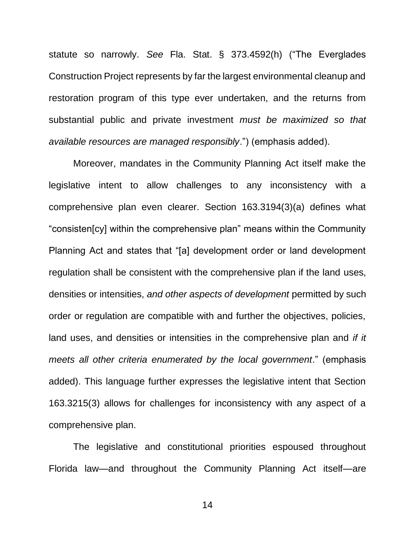<span id="page-17-1"></span>statute so narrowly. *See* Fla. Stat. § 373.4592(h) ("The Everglades Construction Project represents by far the largest environmental cleanup and restoration program of this type ever undertaken, and the returns from substantial public and private investment *must be maximized so that available resources are managed responsibly*.") (emphasis added).

<span id="page-17-0"></span>Moreover, mandates in the Community Planning Act itself make the legislative intent to allow challenges to any inconsistency with a comprehensive plan even clearer. Section 163.3194(3)(a) defines what "consisten[cy] within the comprehensive plan" means within the Community Planning Act and states that "[a] development order or land development regulation shall be consistent with the comprehensive plan if the land uses, densities or intensities, *and other aspects of development* permitted by such order or regulation are compatible with and further the objectives, policies, land uses, and densities or intensities in the comprehensive plan and *if it meets all other criteria enumerated by the local government*." (emphasis added). This language further expresses the legislative intent that Section 163.3215(3) allows for challenges for inconsistency with any aspect of a comprehensive plan.

The legislative and constitutional priorities espoused throughout Florida law—and throughout the Community Planning Act itself—are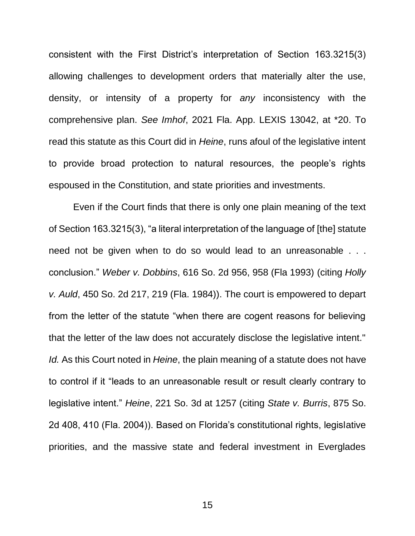<span id="page-18-1"></span>consistent with the First District's interpretation of Section 163.3215(3) allowing challenges to development orders that materially alter the use, density, or intensity of a property for *any* inconsistency with the comprehensive plan. *See Imhof*, 2021 Fla. App. LEXIS 13042, at \*20. To read this statute as this Court did in *Heine*, runs afoul of the legislative intent to provide broad protection to natural resources, the people's rights espoused in the Constitution, and state priorities and investments.

<span id="page-18-3"></span><span id="page-18-2"></span><span id="page-18-0"></span>Even if the Court finds that there is only one plain meaning of the text of Section 163.3215(3), "a literal interpretation of the language of [the] statute need not be given when to do so would lead to an unreasonable . . . conclusion." *Weber v. Dobbins*, 616 So. 2d 956, 958 (Fla 1993) (citing *Holly v. Auld*, 450 So. 2d 217, 219 (Fla. 1984)). The court is empowered to depart from the letter of the statute "when there are cogent reasons for believing that the letter of the law does not accurately disclose the legislative intent." *Id.* As this Court noted in *Heine*, the plain meaning of a statute does not have to control if it "leads to an unreasonable result or result clearly contrary to legislative intent." *Heine*, 221 So. 3d at 1257 (citing *State v. Burris*, 875 So. 2d 408, 410 (Fla. 2004)). Based on Florida's constitutional rights, legislative priorities, and the massive state and federal investment in Everglades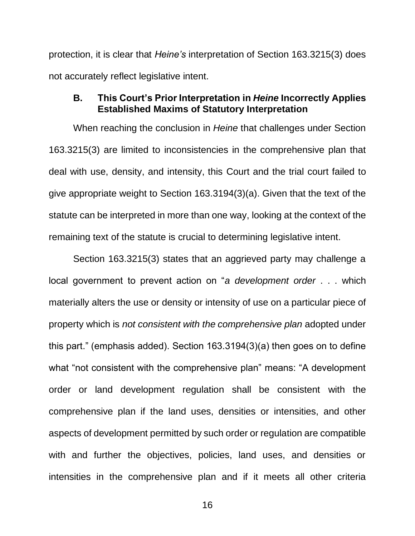protection, it is clear that *Heine's* interpretation of Section 163.3215(3) does not accurately reflect legislative intent.

#### <span id="page-19-1"></span><span id="page-19-0"></span>**B. This Court's Prior Interpretation in** *Heine* **Incorrectly Applies Established Maxims of Statutory Interpretation**

When reaching the conclusion in *Heine* that challenges under Section 163.3215(3) are limited to inconsistencies in the comprehensive plan that deal with use, density, and intensity, this Court and the trial court failed to give appropriate weight to Section 163.3194(3)(a). Given that the text of the statute can be interpreted in more than one way, looking at the context of the remaining text of the statute is crucial to determining legislative intent.

Section 163.3215(3) states that an aggrieved party may challenge a local government to prevent action on "*a development order* . . . which materially alters the use or density or intensity of use on a particular piece of property which is *not consistent with the comprehensive plan* adopted under this part." (emphasis added). Section 163.3194(3)(a) then goes on to define what "not consistent with the comprehensive plan" means: "A development order or land development regulation shall be consistent with the comprehensive plan if the land uses, densities or intensities, and other aspects of development permitted by such order or regulation are compatible with and further the objectives, policies, land uses, and densities or intensities in the comprehensive plan and if it meets all other criteria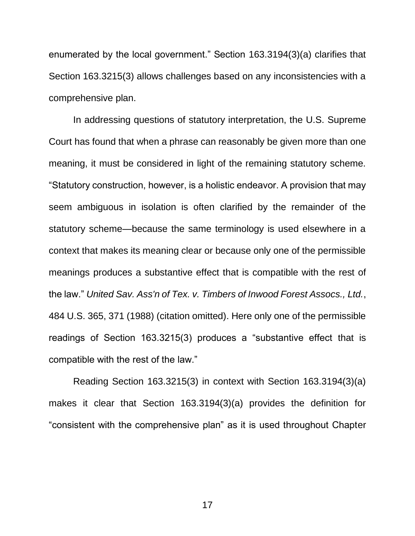<span id="page-20-1"></span>enumerated by the local government." Section 163.3194(3)(a) clarifies that Section 163.3215(3) allows challenges based on any inconsistencies with a comprehensive plan.

In addressing questions of statutory interpretation, the U.S. Supreme Court has found that when a phrase can reasonably be given more than one meaning, it must be considered in light of the remaining statutory scheme. "Statutory construction, however, is a holistic endeavor. A provision that may seem ambiguous in isolation is often clarified by the remainder of the statutory scheme—because the same terminology is used elsewhere in a context that makes its meaning clear or because only one of the permissible meanings produces a substantive effect that is compatible with the rest of the law." *United Sav. Ass'n of Tex. v. Timbers of Inwood Forest Assocs., Ltd.*, 484 U.S. 365, 371 (1988) (citation omitted). Here only one of the permissible readings of Section 163.3215(3) produces a "substantive effect that is compatible with the rest of the law."

<span id="page-20-0"></span>Reading Section 163.3215(3) in context with Section 163.3194(3)(a) makes it clear that Section 163.3194(3)(a) provides the definition for "consistent with the comprehensive plan" as it is used throughout Chapter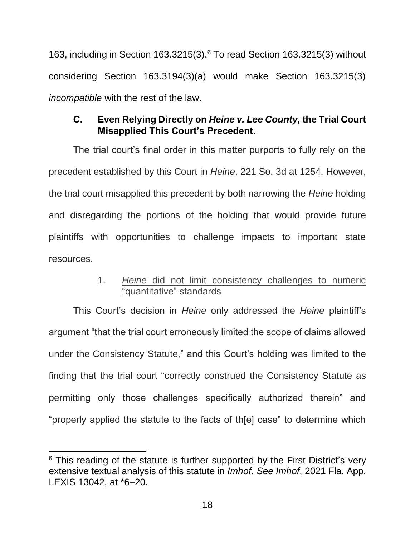163, including in Section 163.3215(3).<sup>6</sup> To read Section 163.3215(3) without considering Section 163.3194(3)(a) would make Section 163.3215(3) *incompatible* with the rest of the law.

# <span id="page-21-3"></span><span id="page-21-0"></span>**C. Even Relying Directly on** *Heine v. Lee County,* **the Trial Court Misapplied This Court's Precedent.**

The trial court's final order in this matter purports to fully rely on the precedent established by this Court in *Heine*. 221 So. 3d at 1254. However, the trial court misapplied this precedent by both narrowing the *Heine* holding and disregarding the portions of the holding that would provide future plaintiffs with opportunities to challenge impacts to important state resources.

# 1. *Heine* did not limit consistency challenges to numeric "quantitative" standards

<span id="page-21-1"></span>This Court's decision in *Heine* only addressed the *Heine* plaintiff's argument "that the trial court erroneously limited the scope of claims allowed under the Consistency Statute," and this Court's holding was limited to the finding that the trial court "correctly construed the Consistency Statute as permitting only those challenges specifically authorized therein" and "properly applied the statute to the facts of th[e] case" to determine which

<span id="page-21-2"></span><sup>&</sup>lt;sup>6</sup> This reading of the statute is further supported by the First District's very extensive textual analysis of this statute in *Imhof. See Imhof*, 2021 Fla. App. LEXIS 13042, at \*6-20.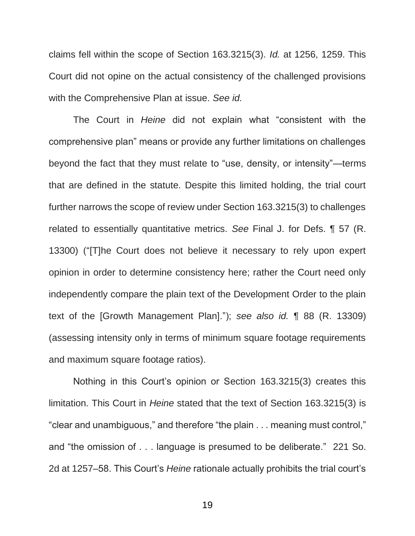claims fell within the scope of Section 163.3215(3). *Id.* at 1256, 1259. This Court did not opine on the actual consistency of the challenged provisions with the Comprehensive Plan at issue. *See id.*

The Court in *Heine* did not explain what "consistent with the comprehensive plan" means or provide any further limitations on challenges beyond the fact that they must relate to "use, density, or intensity"—terms that are defined in the statute. Despite this limited holding, the trial court further narrows the scope of review under Section 163.3215(3) to challenges related to essentially quantitative metrics. *See* Final J. for Defs. ¶ 57 (R. 13300) ("[T]he Court does not believe it necessary to rely upon expert opinion in order to determine consistency here; rather the Court need only independently compare the plain text of the Development Order to the plain text of the [Growth Management Plan]."); *see also id.* ¶ 88 (R. 13309) (assessing intensity only in terms of minimum square footage requirements and maximum square footage ratios).

Nothing in this Court's opinion or Section 163.3215(3) creates this limitation. This Court in *Heine* stated that the text of Section 163.3215(3) is "clear and unambiguous," and therefore "the plain . . . meaning must control," and "the omission of . . . language is presumed to be deliberate." 221 So. 2d at 1257‒58. This Court's *Heine* rationale actually prohibits the trial court's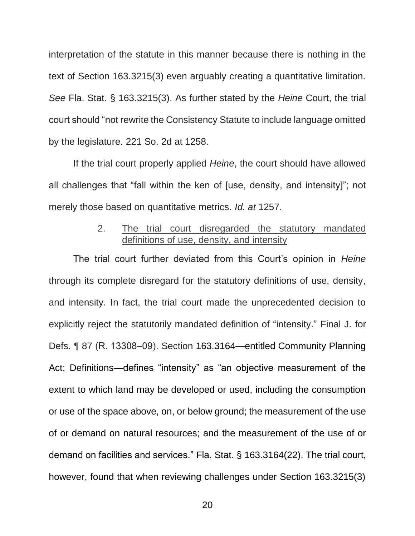interpretation of the statute in this manner because there is nothing in the text of Section 163.3215(3) even arguably creating a quantitative limitation. *See* Fla. Stat. § 163.3215(3). As further stated by the *Heine* Court, the trial court should "not rewrite the Consistency Statute to include language omitted by the legislature. 221 So. 2d at 1258.

If the trial court properly applied *Heine*, the court should have allowed all challenges that "fall within the ken of [use, density, and intensity]"; not merely those based on quantitative metrics. *Id. at* 1257.

#### <span id="page-23-1"></span>2. The trial court disregarded the statutory mandated definitions of use, density, and intensity

<span id="page-23-0"></span>The trial court further deviated from this Court's opinion in *Heine* through its complete disregard for the statutory definitions of use, density, and intensity. In fact, the trial court made the unprecedented decision to explicitly reject the statutorily mandated definition of "intensity." Final J. for Defs. ¶ 87 (R. 13308–09). Section 163.3164—entitled Community Planning Act; Definitions—defines "intensity" as "an objective measurement of the extent to which land may be developed or used, including the consumption or use of the space above, on, or below ground; the measurement of the use of or demand on natural resources; and the measurement of the use of or demand on facilities and services." Fla. Stat. § 163.3164(22). The trial court, however, found that when reviewing challenges under Section 163.3215(3)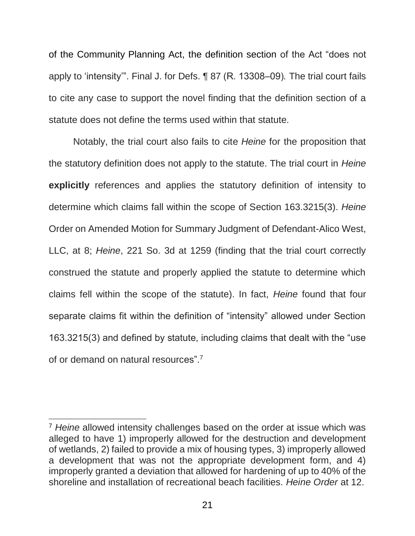of the Community Planning Act, the definition section of the Act "does not apply to 'intensity'". Final J. for Defs. ¶ 87 (R. 13308‒09)*.* The trial court fails to cite any case to support the novel finding that the definition section of a statute does not define the terms used within that statute.

Notably, the trial court also fails to cite *Heine* for the proposition that the statutory definition does not apply to the statute. The trial court in *Heine* **explicitly** references and applies the statutory definition of intensity to determine which claims fall within the scope of Section 163.3215(3). *Heine* Order on Amended Motion for Summary Judgment of Defendant-Alico West, LLC, at 8; *Heine*, 221 So. 3d at 1259 (finding that the trial court correctly construed the statute and properly applied the statute to determine which claims fell within the scope of the statute). In fact, *Heine* found that four separate claims fit within the definition of "intensity" allowed under Section 163.3215(3) and defined by statute, including claims that dealt with the "use of or demand on natural resources".<sup>7</sup>

<sup>7</sup> *Heine* allowed intensity challenges based on the order at issue which was alleged to have 1) improperly allowed for the destruction and development of wetlands, 2) failed to provide a mix of housing types, 3) improperly allowed a development that was not the appropriate development form, and 4) improperly granted a deviation that allowed for hardening of up to 40% of the shoreline and installation of recreational beach facilities. *Heine Order* at 12.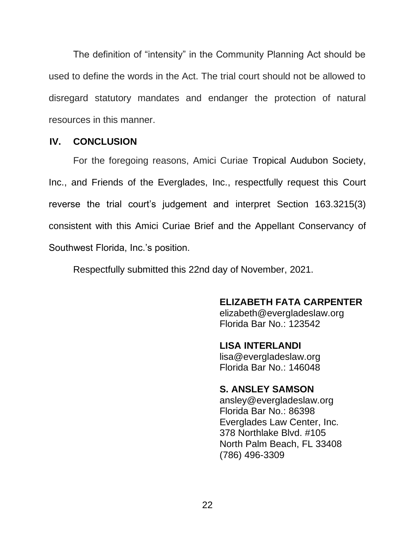The definition of "intensity" in the Community Planning Act should be used to define the words in the Act. The trial court should not be allowed to disregard statutory mandates and endanger the protection of natural resources in this manner.

#### <span id="page-25-0"></span>**IV. CONCLUSION**

For the foregoing reasons, Amici Curiae Tropical Audubon Society, Inc., and Friends of the Everglades, Inc., respectfully request this Court reverse the trial court's judgement and interpret Section 163.3215(3) consistent with this Amici Curiae Brief and the Appellant Conservancy of Southwest Florida, Inc.'s position.

Respectfully submitted this 22nd day of November, 2021.

### **ELIZABETH FATA CARPENTER**

elizabeth@evergladeslaw.org Florida Bar No.: 123542

**LISA INTERLANDI** lisa@evergladeslaw.org Florida Bar No.: 146048

# **S. ANSLEY SAMSON**

ansley@evergladeslaw.org Florida Bar No.: 86398 Everglades Law Center, Inc. 378 Northlake Blvd. #105 North Palm Beach, FL 33408 (786) 496-3309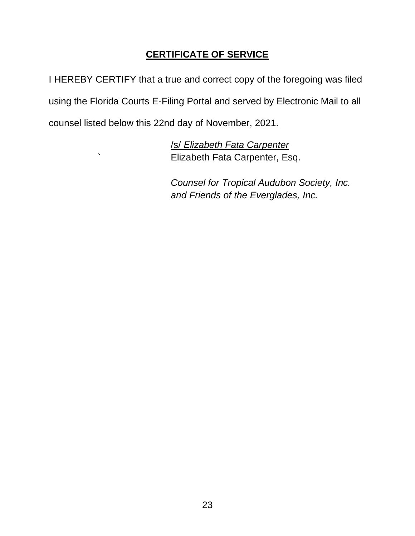# **CERTIFICATE OF SERVICE**

I HEREBY CERTIFY that a true and correct copy of the foregoing was filed using the Florida Courts E-Filing Portal and served by Electronic Mail to all counsel listed below this 22nd day of November, 2021.

> /s/ *Elizabeth Fata Carpenter* ` Elizabeth Fata Carpenter, Esq.

> > *Counsel for Tropical Audubon Society, Inc. and Friends of the Everglades, Inc.*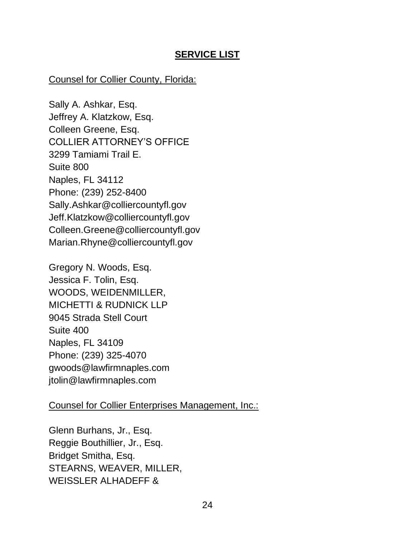# **SERVICE LIST**

#### Counsel for Collier County, Florida:

Sally A. Ashkar, Esq. Jeffrey A. Klatzkow, Esq. Colleen Greene, Esq. COLLIER ATTORNEY'S OFFICE 3299 Tamiami Trail E. Suite 800 Naples, FL 34112 Phone: (239) 252-8400 Sally.Ashkar@colliercountyfl.gov Jeff.Klatzkow@colliercountyfl.gov Colleen.Greene@colliercountyfl.gov Marian.Rhyne@colliercountyfl.gov

Gregory N. Woods, Esq. Jessica F. Tolin, Esq. WOODS, WEIDENMILLER, MICHETTI & RUDNICK LLP 9045 Strada Stell Court Suite 400 Naples, FL 34109 Phone: (239) 325-4070 gwoods@lawfirmnaples.com jtolin@lawfirmnaples.com

#### Counsel for Collier Enterprises Management, Inc.:

Glenn Burhans, Jr., Esq. Reggie Bouthillier, Jr., Esq. Bridget Smitha, Esq. STEARNS, WEAVER, MILLER, WEISSLER ALHADEFF &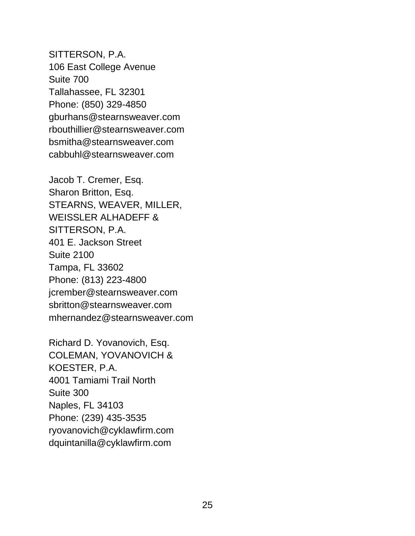SITTERSON, P.A. 106 East College Avenue Suite 700 Tallahassee, FL 32301 Phone: (850) 329-4850 gburhans@stearnsweaver.com rbouthillier@stearnsweaver.com bsmitha@stearnsweaver.com cabbuhl@stearnsweaver.com

Jacob T. Cremer, Esq. Sharon Britton, Esq. STEARNS, WEAVER, MILLER, WEISSLER ALHADEFF & SITTERSON, P.A. 401 E. Jackson Street Suite 2100 Tampa, FL 33602 Phone: (813) 223-4800 jcrember@stearnsweaver.com sbritton@stearnsweaver.com mhernandez@stearnsweaver.com

Richard D. Yovanovich, Esq. COLEMAN, YOVANOVICH & KOESTER, P.A. 4001 Tamiami Trail North Suite 300 Naples, FL 34103 Phone: (239) 435-3535 ryovanovich@cyklawfirm.com dquintanilla@cyklawfirm.com